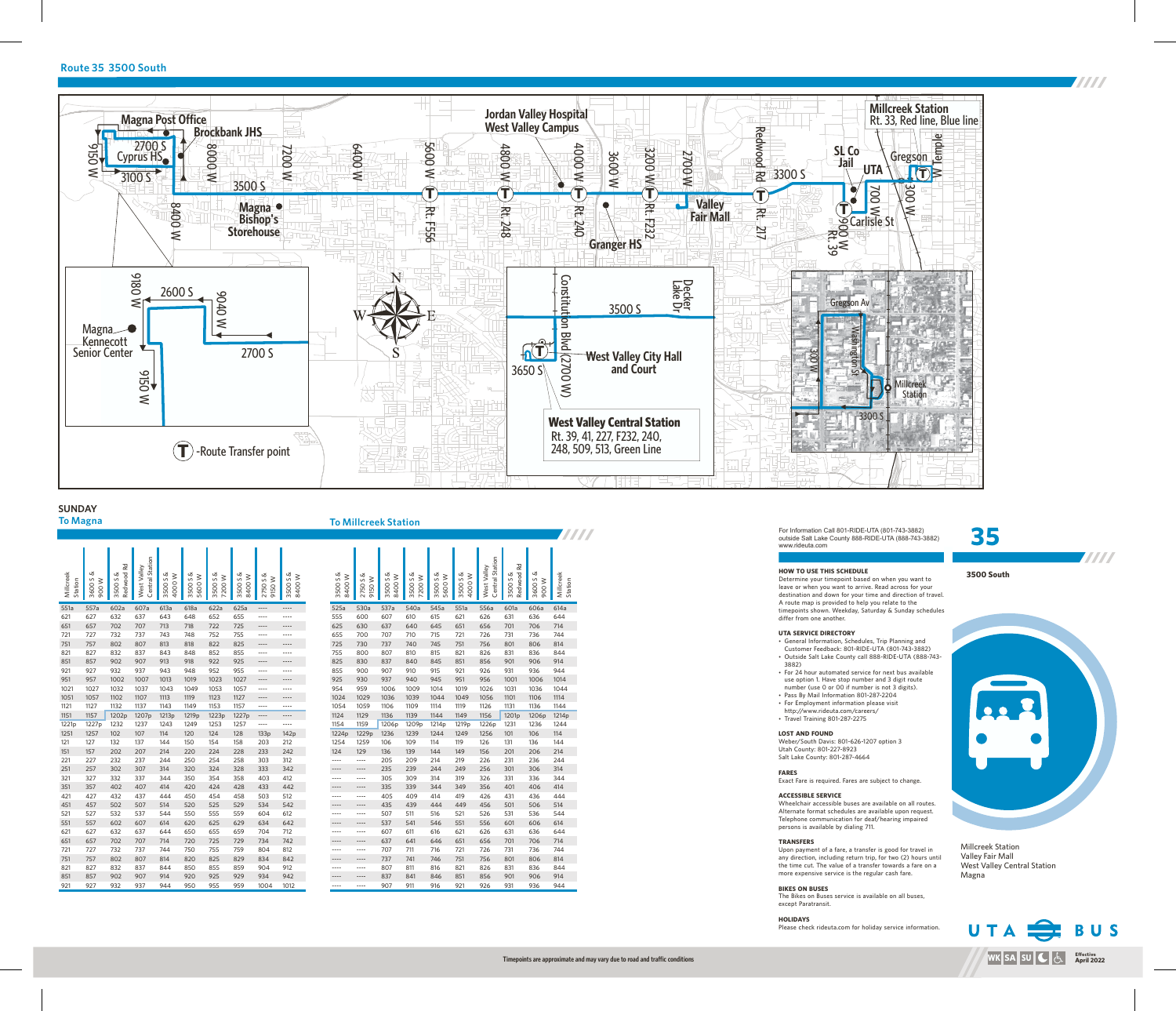**3500 South**



**TITTI** 

**TITTI** 





# **Route 35 3500 South**

Millcreek Station Valley Fair Mall West Valley Central Station Magna

### **SUNDAY To Magna To Millcreek Station**

For Information Call 801-RIDE-UTA (801-743-3882) outside Salt Lake County 888-RIDE-UTA (888-743-3882) www.rideuta.com

- 
- 3882)
- 
- 
- 
- $\cdot$  Travel Training 801-287-2275

**HOW TO USE THIS SCHEDULE** differ from one another.

Determine your timepoint based on when you want to leave or when you want to arrive. Read across for your destination and down for your time and direction of travel. A route map is provided to help you relate to the timepoints shown. Weekday, Saturday & Sunday schedules

• General Information, Schedules, Trip Planning and Customer Feedback: 801-RIDE-UTA (801-743-3882) • Outside Salt Lake County call 888-RIDE-UTA (888-743-

• For 24 hour automated service for next bus available use option 1. Have stop number and 3 digit route number (use 0 or 00 if number is not 3 digits). • Pass By Mail Information 801-287-2204 • For Employment information please visit http://www.rideuta.com/careers/

# **UTA SERVICE DIRECTORY**

**LOST AND FOUND** Weber/South Davis: 801-626-1207 option 3 Utah County: 801-227-8923 Salt Lake County: 801-287-4664

**FARES**

Exact Fare is required. Fares are subject to change.

**ACCESSIBLE SERVICE** 

Wheelchair accessible buses are available on all routes. Alternate format schedules are available upon request. Telephone communication for deaf/hearing impaired persons is available by dialing 711.

**TRANSFERS** Upon payment of a fare, a transfer is good for travel in any direction, including return trip, for two (2) hours until the time cut. The value of a transfer towards a fare on a more expensive service is the regular cash fare.

**BIKES ON BUSES** The Bikes on Buses service is available on all buses, except Paratransit.

**HOLIDAYS**

Please check rideuta.com for holiday service information.



**TITTI** 

| Millcreek<br>Station | ఱ<br>S<br><b>M 006</b><br>3600 | Redwood Rd<br>య<br>3500S | Central Station<br>West Valley | ൾ<br>4000W<br>S<br>3500 | ൾ<br>5600W<br>3500S | z<br>7200W<br>S<br>3500 | ൾ<br>8400W<br>3500S | 2750 S &<br><b>M 0516</b> | ൾ<br>8400W<br>S<br>3500 | ൾ<br>8400W<br>3500S | ൾ<br><b>W 050</b><br>S<br>2750 | z<br>$\geq$<br>3500 S<br>8400 | z<br>7200W<br>3500S | 3500 S &<br>5600W | ൾ<br>4000W<br>S<br>3500 | Central Station<br>West Valley | Rd<br>Redwood<br>ൾ<br>3500S | య<br>3600S<br><b>MOO6</b> | Millcreek |
|----------------------|--------------------------------|--------------------------|--------------------------------|-------------------------|---------------------|-------------------------|---------------------|---------------------------|-------------------------|---------------------|--------------------------------|-------------------------------|---------------------|-------------------|-------------------------|--------------------------------|-----------------------------|---------------------------|-----------|
| 551a                 | 557a                           | 602a                     | 607a                           | 613a                    | 618a                | 622a                    | 625a                | ----                      | ----                    | 525a                | 530a                           | 537a                          | 540a                | 545a              | 551a                    | 556a                           | 601a                        | 606a                      | 614a      |
| 621                  | 627                            | 632                      | 637                            | 643                     | 648                 | 652                     | 655                 | $- - - -$                 | ----                    | 555                 | 600                            | 607                           | 610                 | 615               | 621                     | 626                            | 631                         | 636                       | 644       |
| 651                  | 657                            | 702                      | 707                            | 713                     | 718                 | 722                     | 725                 | ----                      | ----                    | 625                 | 630                            | 637                           | 640                 | 645               | 651                     | 656                            | 701                         | 706                       | 714       |
| 721                  | 727                            | 732                      | 737                            | 743                     | 748                 | 752                     | 755                 | $\cdots$                  | ----                    | 655                 | 700                            | 707                           | 710                 | 715               | 721                     | 726                            | 731                         | 736                       | 744       |
| 751                  | 757                            | 802                      | 807                            | 813                     | 818                 | 822                     | 825                 | ----                      | ----                    | 725                 | 730                            | 737                           | 740                 | 745               | 751                     | 756                            | 801                         | 806                       | 814       |
| 821                  | 827                            | 832                      | 837                            | 843                     | 848                 | 852                     | 855                 | $---$                     | $-- -$                  | 755                 | 800                            | 807                           | 810                 | 815               | 821                     | 826                            | 831                         | 836                       | 844       |
| 851                  | 857                            | 902                      | 907                            | 913                     | 918                 | 922                     | 925                 | ----                      | ----                    | 825                 | 830                            | 837                           | 840                 | 845               | 851                     | 856                            | 901                         | 906                       | 914       |
| 921                  | 927                            | 932                      | 937                            | 943                     | 948                 | 952                     | 955                 | $\cdots$                  | $-- -$                  | 855                 | 900                            | 907                           | 910                 | 915               | 921                     | 926                            | 931                         | 936                       | 944       |
| 951                  | 957                            | 1002                     | 1007                           | 1013                    | 1019                | 1023                    | 1027                | ----                      | ----                    | 925                 | 930                            | 937                           | 940                 | 945               | 951                     | 956                            | 1001                        | 1006                      | 1014      |
| 1021                 | 1027                           | 1032                     | 1037                           | 1043                    | 1049                | 1053                    | 1057                | $\cdots$                  | $- - - -$               | 954                 | 959                            | 1006                          | 1009                | 1014              | 1019                    | 1026                           | 1031                        | 1036                      | 1044      |
| 1051                 | 1057                           | 1102                     | 1107                           | 1113                    | 1119                | 1123                    | 1127                | $- - - -$                 | ----                    | 1024                | 1029                           | 1036                          | 1039                | 1044              | 1049                    | 1056                           | 1101                        | 1106                      | 1114      |
| 1121                 | 1127                           | 1132                     | 1137                           | 1143                    | 1149                | 1153                    | 1157                | $- - - -$                 | $---$                   | 1054                | 1059                           | 1106                          | 1109                | 1114              | 1119                    | 1126                           | 1131                        | 1136                      | 1144      |
| 1151                 | 1157                           | 1202p                    | 1207p                          | 1213p                   | 1219p               | 1223p                   | 1227p               | ----                      | ----                    | 1124                | 1129                           | 1136                          | 1139                | 1144              | 1149                    | 1156                           | 1201 <sub>p</sub>           | 1206p                     | 1214      |
| 1221p                | 1227p                          | 1232                     | 1237                           | 1243                    | 1249                | 1253                    | 1257                | $- - - -$                 | ----                    | 1154                | 1159                           | 1206p                         | 1209p               | 1214p             | 1219p                   | 1226p                          | 1231                        | 1236                      | 1244      |
| 1251                 | 1257                           | 102                      | 107                            | 114                     | 120                 | 124                     | 128                 | 133p                      | 142p                    | 1224p               | 1229p                          | 1236                          | 1239                | 1244              | 1249                    | 1256                           | 101                         | 106                       | 114       |
| 121                  | 127                            | 132                      | 137                            | 144                     | 150                 | 154                     | 158                 | 203                       | 212                     | 1254                | 1259                           | 106                           | 109                 | 114               | 119                     | 126                            | 131                         | 136                       | 144       |
| 151                  | 157                            | 202                      | 207                            | 214                     | 220                 | 224                     | 228                 | 233                       | 242                     | 124                 | 129                            | 136                           | 139                 | 144               | 149                     | 156                            | 201                         | 206                       | 214       |
| 221                  | 227                            | 232                      | 237                            | 244                     | 250                 | 254                     | 258                 | 303                       | 312                     | $- - - -$           | ----                           | 205                           | 209                 | 214               | 219                     | 226                            | 231                         | 236                       | 244       |
| 251                  | 257                            | 302                      | 307                            | 314                     | 320                 | 324                     | 328                 | 333                       | 342                     | ----                | ----                           | 235                           | 239                 | 244               | 249                     | 256                            | 301                         | 306                       | 314       |
| 321                  | 327                            | 332                      | 337                            | 344                     | 350                 | 354                     | 358                 | 403                       | 412                     | $\cdots$            | ----                           | 305                           | 309                 | 314               | 319                     | 326                            | 331                         | 336                       | 344       |
| 351                  | 357                            | 402                      | 407                            | 414                     | 420                 | 424                     | 428                 | 433                       | 442                     | ----                | ----                           | 335                           | 339                 | 344               | 349                     | 356                            | 401                         | 406                       | 414       |
| 421                  | 427                            | 432                      | 437                            | 444                     | 450                 | 454                     | 458                 | 503                       | 512                     | $---$               | ----                           | 405                           | 409                 | 414               | 419                     | 426                            | 431                         | 436                       | 444       |
| 451                  | 457                            | 502                      | 507                            | 514                     | 520                 | 525                     | 529                 | 534                       | 542                     | ----                | ----                           | 435                           | 439                 | 444               | 449                     | 456                            | 501                         | 506                       | 514       |
| 521                  | 527                            | 532                      | 537                            | 544                     | 550                 | 555                     | 559                 | 604                       | 612                     | $- - - -$           | $- - - -$                      | 507                           | 511                 | 516               | 521                     | 526                            | 531                         | 536                       | 544       |
| 551                  | 557                            | 602                      | 607                            | 614                     | 620                 | 625                     | 629                 | 634                       | 642                     | $---$               | ----                           | 537                           | 541                 | 546               | 551                     | 556                            | 601                         | 606                       | 614       |
| 621                  | 627                            | 632                      | 637                            | 644                     | 650                 | 655                     | 659                 | 704                       | 712                     | $- - - -$           | $- - - -$                      | 607                           | 611                 | 616               | 621                     | 626                            | 631                         | 636                       | 644       |
| 651                  | 657                            | 702                      | 707                            | 714                     | 720                 | 725                     | 729                 | 734                       | 742                     | $- - - -$           | $---$                          | 637                           | 641                 | 646               | 651                     | 656                            | 701                         | 706                       | 714       |
| 721                  | 727                            | 732                      | 737                            | 744                     | 750                 | 755                     | 759                 | 804                       | 812                     | $- - - -$           | $- - - -$                      | 707                           | 711                 | 716               | 721                     | 726                            | 731                         | 736                       | 744       |
| 751                  | 757                            | 802                      | 807                            | 814                     | 820                 | 825                     | 829                 | 834                       | 842                     | $- - - -$           | $-- - -$                       | 737                           | 741                 | 746               | 751                     | 756                            | 801                         | 806                       | 814       |
| 821                  | 827                            | 832                      | 837                            | 844                     | 850                 | 855                     | 859                 | 904                       | 912                     | $---$               | $- - - -$                      | 807                           | 811                 | 816               | 821                     | 826                            | 831                         | 836                       | 844       |
| 851                  | 857                            | 902                      | 907                            | 914                     | 920                 | 925                     | 929                 | 934                       | 942                     | $---$               | ----                           | 837                           | 841                 | 846               | 851                     | 856                            | 901                         | 906                       | 914       |

| Millcreek<br>Station | య<br>S<br><b>MO06</b><br>3600 | Rd<br>Redwood<br>య<br>3500S | Central Station<br>West Valley | 3500 S &<br>4000W | Ø<br>5600W<br>S<br>3500 | ൾ<br>7200W<br>3500 S | ൾ<br>8400W<br>3500S | 2750 S &<br><b>M 0516</b> | ൾ<br>8400W<br>3500S |
|----------------------|-------------------------------|-----------------------------|--------------------------------|-------------------|-------------------------|----------------------|---------------------|---------------------------|---------------------|
| 551a                 | 557a                          | 602a                        | 607a                           | 613a              | 618a                    | 622a                 | 625a                | $---$                     | $---$               |
| 621                  | 627                           | 632                         | 637                            | 643               | 648                     | 652                  | 655                 | ----                      | ----                |
| 651                  | 657                           | 702                         | 707                            | 713               | 718                     | 722                  | 725                 | ----                      | ----                |
| 721                  | 727                           | 732                         | 737                            | 743               | 748                     | 752                  | 755                 | $---$                     | $- - - -$           |
| 751                  | 757                           | 802                         | 807                            | 813               | 818                     | 822                  | 825                 | $---$                     | ----                |
| 821                  | 827                           | 832                         | 837                            | 843               | 848                     | 852                  | 855                 | $---$                     | $-- -$              |
| 851                  | 857                           | 902                         | 907                            | 913               | 918                     | 922                  | 925                 | $---$                     | ----                |
| 921                  | 927                           | 932                         | 937                            | 943               | 948                     | 952                  | 955                 | $---$                     | $- - - -$           |
| 951                  | 957                           | 1002                        | 1007                           | 1013              | 1019                    | 1023                 | 1027                | ----                      | ----                |
| 1021                 | 1027                          | 1032                        | 1037                           | 1043              | 1049                    | 1053                 | 1057                | ----                      | ----                |
| 1051                 | 1057                          | 1102                        | 1107                           | 1113              | 1119                    | 1123                 | 1127                | ----                      | ----                |
| 1121                 | 1127                          | 1132                        | 1137                           | 1143              | 1149                    | 1153                 | 1157                | $---$                     | $- - - -$           |
| 1151                 | 1157                          | 1202p                       | 1207 <sub>p</sub>              | 1213p             | 1219 <sub>p</sub>       | 1223p                | 1227p               | $\cdots$                  | ----                |
| 1221p                | 1227p                         | 1232                        | 1237                           | 1243              | 1249                    | 1253                 | 1257                | $---$                     | ----                |
| 1251                 | 1257                          | 102                         | 107                            | 114               | 120                     | 124                  | 128                 | 133p                      | 142p                |
| 121                  | 127                           | 132                         | 137                            | 144               | 150                     | 154                  | 158                 | 203                       | 212                 |
| 151                  | 157                           | 202                         | 207                            | 214               | 220                     | 224                  | 228                 | 233                       | 242                 |
| 221                  | 227                           | 232                         | 237                            | 244               | 250                     | 254                  | 258                 | 303                       | 312                 |
| 251                  | 257                           | 302                         | 307                            | 314               | 320                     | 324                  | 328                 | 333                       | 342                 |
| 321                  | 327                           | 332                         | 337                            | 344               | 350                     | 354                  | 358                 | 403                       | 412                 |
| 351                  | 357                           | 402                         | 407                            | 414               | 420                     | 424                  | 428                 | 433                       | 442                 |
| 421                  | 427                           | 432                         | 437                            | 444               | 450                     | 454                  | 458                 | 503                       | 512                 |
| 451                  | 457                           | 502                         | 507                            | 514               | 520                     | 525                  | 529                 | 534                       | 542                 |
| 521                  | 527                           | 532                         | 537                            | 544               | 550                     | 555                  | 559                 | 604                       | 612                 |
| 551                  | 557                           | 602                         | 607                            | 614               | 620                     | 625                  | 629                 | 634                       | 642                 |
| 621                  | 627                           | 632                         | 637                            | 644               | 650                     | 655                  | 659                 | 704                       | 712                 |
| 651                  | 657                           | 702                         | 707                            | 714               | 720                     | 725                  | 729                 | 734                       | 742                 |
| 721                  | 727                           | 732                         | 737                            | 744               | 750                     | 755                  | 759                 | 804                       | 812                 |
| 751                  | 757                           | 802                         | 807                            | 814               | 820                     | 825                  | 829                 | 834                       | 842                 |
| 821                  | 827                           | 832                         | 837                            | 844               | 850                     | 855                  | 859                 | 904                       | 912                 |
| 851                  | 857                           | 902                         | 907                            | 914               | 920                     | 925                  | 929                 | 934                       | 942                 |
| 921                  | 927                           | 932                         | 937                            | 944               | 950                     | 955                  | 959                 | 1004                      | 1012                |